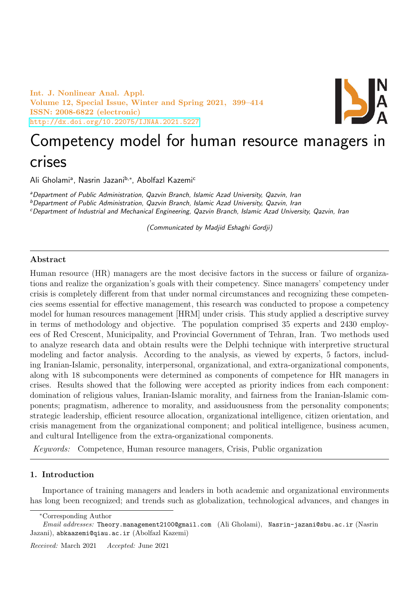Int. J. Nonlinear Anal. Appl. Volume 12, Special Issue, Winter and Spring 2021, 399–414 ISSN: 2008-6822 (electronic) <http://dx.doi.org/10.22075/IJNAA.2021.5227>



# Competency model for human resource managers in crises

Ali Gholamiª, Nasrin Jazani<sup>b,∗</sup>, Abolfazl Kazemi<sup>c</sup>

aDepartment of Public Administration, Qazvin Branch, Islamic Azad University, Qazvin, Iran <sup>b</sup>Department of Public Administration, Qazvin Branch, Islamic Azad University, Qazvin, Iran <sup>c</sup>Department of Industrial and Mechanical Engineering, Qazvin Branch, Islamic Azad University, Qazvin, Iran

(Communicated by Madjid Eshaghi Gordji)

## Abstract

Human resource (HR) managers are the most decisive factors in the success or failure of organizations and realize the organization's goals with their competency. Since managers' competency under crisis is completely different from that under normal circumstances and recognizing these competencies seems essential for effective management, this research was conducted to propose a competency model for human resources management [HRM] under crisis. This study applied a descriptive survey in terms of methodology and objective. The population comprised 35 experts and 2430 employees of Red Crescent, Municipality, and Provincial Government of Tehran, Iran. Two methods used to analyze research data and obtain results were the Delphi technique with interpretive structural modeling and factor analysis. According to the analysis, as viewed by experts, 5 factors, including Iranian-Islamic, personality, interpersonal, organizational, and extra-organizational components, along with 18 subcomponents were determined as components of competence for HR managers in crises. Results showed that the following were accepted as priority indices from each component: domination of religious values, Iranian-Islamic morality, and fairness from the Iranian-Islamic components; pragmatism, adherence to morality, and assiduousness from the personality components; strategic leadership, efficient resource allocation, organizational intelligence, citizen orientation, and crisis management from the organizational component; and political intelligence, business acumen, and cultural Intelligence from the extra-organizational components.

Keywords: Competence, Human resource managers, Crisis, Public organization

# 1. Introduction

Importance of training managers and leaders in both academic and organizational environments has long been recognized; and trends such as globalization, technological advances, and changes in

<sup>∗</sup>Corresponding Author

Email addresses: Theory.management2100@gmail.com (Ali Gholami), Nasrin-jazani@sbu.ac.ir (Nasrin Jazani), abkaazemi@qiau.ac.ir (Abolfazl Kazemi)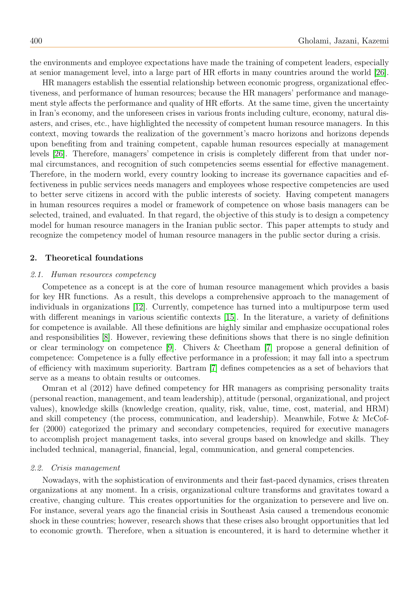the environments and employee expectations have made the training of competent leaders, especially at senior management level, into a large part of HR efforts in many countries around the world [\[26\]](#page-15-0).

HR managers establish the essential relationship between economic progress, organizational effectiveness, and performance of human resources; because the HR managers' performance and management style affects the performance and quality of HR efforts. At the same time, given the uncertainty in Iran's economy, and the unforeseen crises in various fronts including culture, economy, natural disasters, and crises, etc., have highlighted the necessity of competent human resource managers. In this context, moving towards the realization of the government's macro horizons and horizons depends upon benefiting from and training competent, capable human resources especially at management levels [\[26\]](#page-15-0). Therefore, managers' competence in crisis is completely different from that under normal circumstances, and recognition of such competencies seems essential for effective management. Therefore, in the modern world, every country looking to increase its governance capacities and effectiveness in public services needs managers and employees whose respective competencies are used to better serve citizens in accord with the public interests of society. Having competent managers in human resources requires a model or framework of competence on whose basis managers can be selected, trained, and evaluated. In that regard, the objective of this study is to design a competency model for human resource managers in the Iranian public sector. This paper attempts to study and recognize the competency model of human resource managers in the public sector during a crisis.

## 2. Theoretical foundations

## 2.1. Human resources competency

Competence as a concept is at the core of human resource management which provides a basis for key HR functions. As a result, this develops a comprehensive approach to the management of individuals in organizations [\[12\]](#page-14-0). Currently, competence has turned into a multipurpose term used with different meanings in various scientific contexts [\[15\]](#page-14-1). In the literature, a variety of definitions for competence is available. All these definitions are highly similar and emphasize occupational roles and responsibilities [\[8\]](#page-14-2). However, reviewing these definitions shows that there is no single definition or clear terminology on competence [\[9\]](#page-14-3). Chivers & Cheetham [\[7\]](#page-14-4) propose a general definition of competence: Competence is a fully effective performance in a profession; it may fall into a spectrum of efficiency with maximum superiority. Bartram [\[7\]](#page-14-4) defines competencies as a set of behaviors that serve as a means to obtain results or outcomes.

Omran et al (2012) have defined competency for HR managers as comprising personality traits (personal reaction, management, and team leadership), attitude (personal, organizational, and project values), knowledge skills (knowledge creation, quality, risk, value, time, cost, material, and HRM) and skill competency (the process, communication, and leadership). Meanwhile, Fotwe & McCoffer (2000) categorized the primary and secondary competencies, required for executive managers to accomplish project management tasks, into several groups based on knowledge and skills. They included technical, managerial, financial, legal, communication, and general competencies.

#### 2.2. Crisis management

Nowadays, with the sophistication of environments and their fast-paced dynamics, crises threaten organizations at any moment. In a crisis, organizational culture transforms and gravitates toward a creative, changing culture. This creates opportunities for the organization to persevere and live on. For instance, several years ago the financial crisis in Southeast Asia caused a tremendous economic shock in these countries; however, research shows that these crises also brought opportunities that led to economic growth. Therefore, when a situation is encountered, it is hard to determine whether it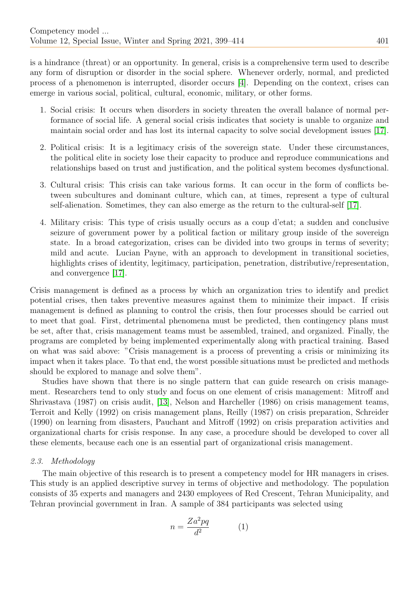is a hindrance (threat) or an opportunity. In general, crisis is a comprehensive term used to describe any form of disruption or disorder in the social sphere. Whenever orderly, normal, and predicted process of a phenomenon is interrupted, disorder occurs [\[4\]](#page-14-5). Depending on the context, crises can emerge in various social, political, cultural, economic, military, or other forms.

- 1. Social crisis: It occurs when disorders in society threaten the overall balance of normal performance of social life. A general social crisis indicates that society is unable to organize and maintain social order and has lost its internal capacity to solve social development issues [\[17\]](#page-14-6).
- 2. Political crisis: It is a legitimacy crisis of the sovereign state. Under these circumstances, the political elite in society lose their capacity to produce and reproduce communications and relationships based on trust and justification, and the political system becomes dysfunctional.
- 3. Cultural crisis: This crisis can take various forms. It can occur in the form of conflicts between subcultures and dominant culture, which can, at times, represent a type of cultural self-alienation. Sometimes, they can also emerge as the return to the cultural-self [\[17\]](#page-14-6).
- 4. Military crisis: This type of crisis usually occurs as a coup d'etat; a sudden and conclusive seizure of government power by a political faction or military group inside of the sovereign state. In a broad categorization, crises can be divided into two groups in terms of severity; mild and acute. Lucian Payne, with an approach to development in transitional societies, highlights crises of identity, legitimacy, participation, penetration, distributive/representation, and convergence [\[17\]](#page-14-6).

Crisis management is defined as a process by which an organization tries to identify and predict potential crises, then takes preventive measures against them to minimize their impact. If crisis management is defined as planning to control the crisis, then four processes should be carried out to meet that goal. First, detrimental phenomena must be predicted, then contingency plans must be set, after that, crisis management teams must be assembled, trained, and organized. Finally, the programs are completed by being implemented experimentally along with practical training. Based on what was said above: "Crisis management is a process of preventing a crisis or minimizing its impact when it takes place. To that end, the worst possible situations must be predicted and methods should be explored to manage and solve them".

Studies have shown that there is no single pattern that can guide research on crisis management. Researchers tend to only study and focus on one element of crisis management: Mitroff and Shrivastava (1987) on crisis audit, [\[13\]](#page-14-7), Nelson and Harcheller (1986) on crisis management teams, Terroit and Kelly (1992) on crisis management plans, Reilly (1987) on crisis preparation, Schreider (1990) on learning from disasters, Pauchant and Mitroff (1992) on crisis preparation activities and organizational charts for crisis response. In any case, a procedure should be developed to cover all these elements, because each one is an essential part of organizational crisis management.

## 2.3. Methodology

The main objective of this research is to present a competency model for HR managers in crises. This study is an applied descriptive survey in terms of objective and methodology. The population consists of 35 experts and managers and 2430 employees of Red Crescent, Tehran Municipality, and Tehran provincial government in Iran. A sample of 384 participants was selected using

$$
n = \frac{Za^2pq}{d^2} \tag{1}
$$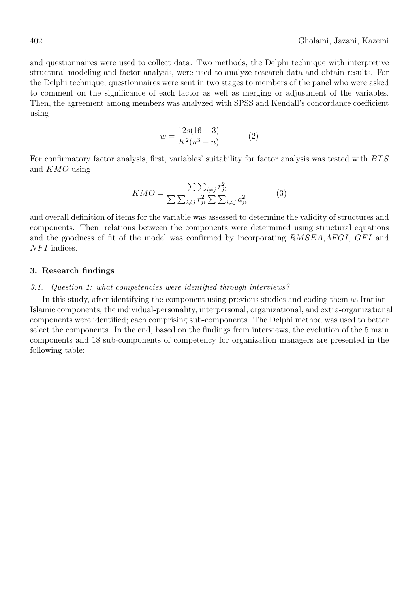and questionnaires were used to collect data. Two methods, the Delphi technique with interpretive structural modeling and factor analysis, were used to analyze research data and obtain results. For the Delphi technique, questionnaires were sent in two stages to members of the panel who were asked to comment on the significance of each factor as well as merging or adjustment of the variables. Then, the agreement among members was analyzed with SPSS and Kendall's concordance coefficient using

$$
w = \frac{12s(16-3)}{K^2(n^3 - n)}
$$
 (2)

For confirmatory factor analysis, first, variables' suitability for factor analysis was tested with  $BTS$ and KMO using

$$
KMO = \frac{\sum \sum_{i \neq j} r_{ji}^2}{\sum \sum_{i \neq j} r_{ji}^2 \sum \sum_{i \neq j} a_{ji}^2}
$$
(3)

and overall definition of items for the variable was assessed to determine the validity of structures and components. Then, relations between the components were determined using structural equations and the goodness of fit of the model was confirmed by incorporating  $RMSEA, AFGI, GFI$  and  $NFI$  indices.

## 3. Research findings

#### 3.1. Question 1: what competencies were identified through interviews?

In this study, after identifying the component using previous studies and coding them as Iranian-Islamic components; the individual-personality, interpersonal, organizational, and extra-organizational components were identified; each comprising sub-components. The Delphi method was used to better select the components. In the end, based on the findings from interviews, the evolution of the 5 main components and 18 sub-components of competency for organization managers are presented in the following table: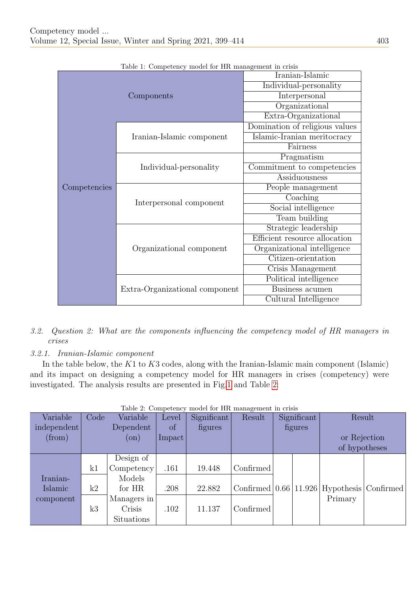|              | Lable 1. Competency model for THI management in crisis |                                |  |  |  |
|--------------|--------------------------------------------------------|--------------------------------|--|--|--|
|              |                                                        | Iranian-Islamic                |  |  |  |
|              |                                                        | Individual-personality         |  |  |  |
|              | Components                                             | Interpersonal                  |  |  |  |
|              |                                                        | Organizational                 |  |  |  |
|              |                                                        | Extra-Organizational           |  |  |  |
|              |                                                        | Domination of religious values |  |  |  |
|              | Iranian-Islamic component                              | Islamic-Iranian meritocracy    |  |  |  |
|              |                                                        | Fairness                       |  |  |  |
|              |                                                        | Pragmatism                     |  |  |  |
| Competencies | Individual-personality                                 | Commitment to competencies     |  |  |  |
|              |                                                        | Assiduousness                  |  |  |  |
|              |                                                        | People management              |  |  |  |
|              | Interpersonal component                                | Coaching                       |  |  |  |
|              |                                                        | Social intelligence            |  |  |  |
|              |                                                        | Team building                  |  |  |  |
|              |                                                        | Strategic leadership           |  |  |  |
|              |                                                        | Efficient resource allocation  |  |  |  |
|              | Organizational component                               | Organizational intelligence    |  |  |  |
|              |                                                        | Citizen-orientation            |  |  |  |
|              |                                                        | Crisis Management              |  |  |  |
|              |                                                        | Political intelligence         |  |  |  |
|              | Extra-Organizational component                         | Business acumen                |  |  |  |
|              |                                                        | Cultural Intelligence          |  |  |  |

|  |  | Table 1: Competency model for HR management in crisis |  |
|--|--|-------------------------------------------------------|--|
|  |  |                                                       |  |

- 3.2. Question 2: What are the components influencing the competency model of HR managers in crises
- 3.2.1. Iranian-Islamic component

In the table below, the  $K1$  to  $K3$  codes, along with the Iranian-Islamic main component (Islamic) and its impact on designing a competency model for HR managers in crises (competency) were investigated. The analysis results are presented in Fig[.1](#page-5-0) and Table [2:](#page-4-0)

<span id="page-4-0"></span>

| Variable    | Code | Variable      | Level  | Significant | Result    |                    | Significant | Result               |  |
|-------------|------|---------------|--------|-------------|-----------|--------------------|-------------|----------------------|--|
| independent |      | Dependent     | of     | figures     |           | figures            |             |                      |  |
| (from)      |      | $(\text{on})$ | Impact |             |           |                    |             | or Rejection         |  |
|             |      |               |        |             |           |                    |             | of hypotheses        |  |
|             |      | Design of     |        |             |           |                    |             |                      |  |
|             | k1   | Competency    | .161   | 19.448      | Confirmed |                    |             |                      |  |
| Iranian-    |      | Models        |        |             |           |                    |             |                      |  |
| Islamic     | k2   | for HR        | .208   | 22.882      | Confirmed | $\vert 0.66 \vert$ | 11.926      | Hypothesis Confirmed |  |
| component   |      | Managers in   |        |             |           |                    |             | Primary              |  |
|             | k3   | Crisis        | .102   | 11.137      | Confirmed |                    |             |                      |  |
|             |      | Situations    |        |             |           |                    |             |                      |  |

## Table 2: Competency model for HR management in crisis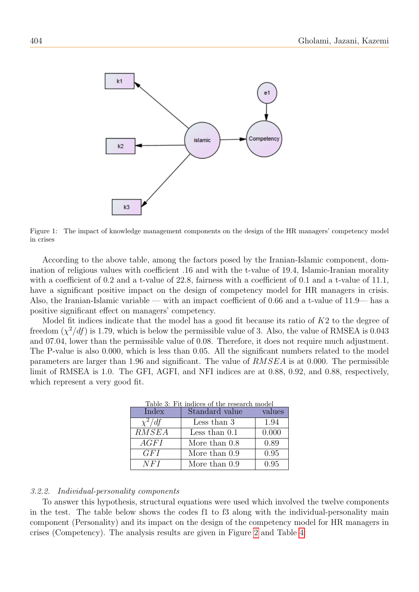<span id="page-5-0"></span>

Figure 1: The impact of knowledge management components on the design of the HR managers' competency model in crises

According to the above table, among the factors posed by the Iranian-Islamic component, domination of religious values with coefficient .16 and with the t-value of 19.4, Islamic-Iranian morality with a coefficient of 0.2 and a t-value of 22.8, fairness with a coefficient of 0.1 and a t-value of 11.1, have a significant positive impact on the design of competency model for HR managers in crisis. Also, the Iranian-Islamic variable — with an impact coefficient of 0.66 and a t-value of 11.9— has a positive significant effect on managers' competency.

Model fit indices indicate that the model has a good fit because its ratio of  $K2$  to the degree of freedom  $(\chi^2/df)$  is 1.79, which is below the permissible value of 3. Also, the value of RMSEA is 0.043 and 07.04, lower than the permissible value of 0.08. Therefore, it does not require much adjustment. The P-value is also 0.000, which is less than 0.05. All the significant numbers related to the model parameters are larger than 1.96 and significant. The value of RMSEA is at 0.000. The permissible limit of RMSEA is 1.0. The GFI, AGFI, and NFI indices are at 0.88, 0.92, and 0.88, respectively, which represent a very good fit.

| Table 3: Fit indices of the research model |                 |        |  |  |  |  |  |  |  |
|--------------------------------------------|-----------------|--------|--|--|--|--|--|--|--|
| Index                                      | Standard value  | values |  |  |  |  |  |  |  |
| $\chi^2/df$                                | Less than 3     | 1.94   |  |  |  |  |  |  |  |
| RMSEA                                      | Less than $0.1$ | 0.000  |  |  |  |  |  |  |  |
| AGFI                                       | More than 0.8   | 0.89   |  |  |  |  |  |  |  |
| GFI                                        | More than 0.9   | 0.95   |  |  |  |  |  |  |  |
| NFI                                        | More than 0.9   | 0.95   |  |  |  |  |  |  |  |

#### 3.2.2. Individual-personality components

To answer this hypothesis, structural equations were used which involved the twelve components in the test. The table below shows the codes f1 to f3 along with the individual-personality main component (Personality) and its impact on the design of the competency model for HR managers in crises (Competency). The analysis results are given in Figure [2](#page-6-0) and Table [4:](#page-6-1)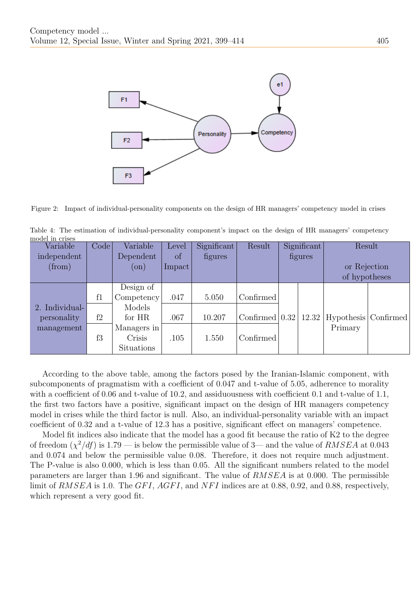<span id="page-6-0"></span>

Figure 2: Impact of individual-personality components on the design of HR managers' competency model in crises

<span id="page-6-1"></span>Table 4: The estimation of individual-personality component's impact on the design of HR managers' competency model in crises

| Variable       | Code | Variable    | Level           | Significant | Result                        | Significant |         | Result               |  |
|----------------|------|-------------|-----------------|-------------|-------------------------------|-------------|---------|----------------------|--|
| independent    |      | Dependent   | οf              | figures     |                               |             | figures |                      |  |
| (from)         |      | $($ on $)$  | $\text{Impact}$ |             |                               |             |         | or Rejection         |  |
|                |      |             |                 |             |                               |             |         | of hypotheses        |  |
|                |      | Design of   |                 |             |                               |             |         |                      |  |
|                | f1   | Competency  | .047            | 5.050       | Confirmed                     |             |         |                      |  |
| 2. Individual- |      | Models      |                 |             |                               |             |         |                      |  |
| personality    | f2   | for HR      | .067            | 10.207      | Confirmed $(0.32 \mid 12.32)$ |             |         | Hypothesis Confirmed |  |
| management     |      | Managers in |                 |             |                               |             |         | Primary              |  |
|                | f3   | Crisis      | .105            | 1.550       | Confirmed                     |             |         |                      |  |
|                |      | Situations  |                 |             |                               |             |         |                      |  |

According to the above table, among the factors posed by the Iranian-Islamic component, with subcomponents of pragmatism with a coefficient of 0.047 and t-value of 5.05, adherence to morality with a coefficient of 0.06 and t-value of 10.2, and assiduousness with coefficient 0.1 and t-value of 1.1, the first two factors have a positive, significant impact on the design of HR managers competency model in crises while the third factor is null. Also, an individual-personality variable with an impact coefficient of 0.32 and a t-value of 12.3 has a positive, significant effect on managers' competence.

Model fit indices also indicate that the model has a good fit because the ratio of K2 to the degree of freedom  $(\chi^2/df)$  is 1.79 — is below the permissible value of 3— and the value of RMSEA at 0.043 and 0.074 and below the permissible value 0.08. Therefore, it does not require much adjustment. The P-value is also 0.000, which is less than 0.05. All the significant numbers related to the model parameters are larger than 1.96 and significant. The value of RMSEA is at 0.000. The permissible limit of RMSEA is 1.0. The GFI, AGFI, and NFI indices are at 0.88, 0.92, and 0.88, respectively, which represent a very good fit.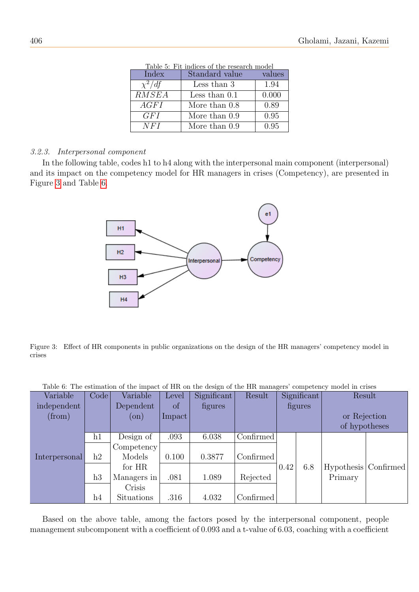|             | Table 5: Fit indices of the research model |        |
|-------------|--------------------------------------------|--------|
| Index       | Standard value                             | values |
| $\chi^2/df$ | Less than 3                                | 1.94   |
| RMSEA       | Less than $0.1$                            | 0.000  |
| AGFI        | More than $0.8$                            | 0.89   |
| GF I        | More than $0.9$                            | 0.95   |
| NFI         | More than 0.9                              | 0.95   |

Table 5: Fit indices of the research model

# 3.2.3. Interpersonal component

In the following table, codes h1 to h4 along with the interpersonal main component (interpersonal) and its impact on the competency model for HR managers in crises (Competency), are presented in Figure [3](#page-7-0) and Table [6.](#page-7-1)

<span id="page-7-0"></span>

Figure 3: Effect of HR components in public organizations on the design of the HR managers' competency model in crises

<span id="page-7-1"></span>

|  |  |  |  | Table 6: The estimation of the impact of HR on the design of the HR managers' competency model in crises |  |  |
|--|--|--|--|----------------------------------------------------------------------------------------------------------|--|--|
|--|--|--|--|----------------------------------------------------------------------------------------------------------|--|--|

| Variable      | Code          | Variable    | Level  | Significant | Result    | Significant |     | Result                 |  |
|---------------|---------------|-------------|--------|-------------|-----------|-------------|-----|------------------------|--|
| independent   |               | Dependent   | of     | figures     |           | figures     |     |                        |  |
| (from)        |               | $($ on $)$  | Impact |             |           |             |     | or Rejection           |  |
|               |               |             |        |             |           |             |     | of hypotheses          |  |
|               | h1            | Design of   | .093   | 6.038       | Confirmed |             |     |                        |  |
|               |               | Competency  |        |             |           |             |     |                        |  |
| Interpersonal | $\mathrm{h}2$ | Models      | 0.100  | 0.3877      | Confirmed |             |     |                        |  |
|               |               | for HR      |        |             |           | 0.42        | 6.8 | Hypothesis   Confirmed |  |
|               | h3            | Managers in | .081   | 1.089       | Rejected  |             |     | Primary                |  |
|               |               | Crisis      |        |             |           |             |     |                        |  |
|               | h4            | Situations  | .316   | 4.032       | Confirmed |             |     |                        |  |

Based on the above table, among the factors posed by the interpersonal component, people management subcomponent with a coefficient of 0.093 and a t-value of 6.03, coaching with a coefficient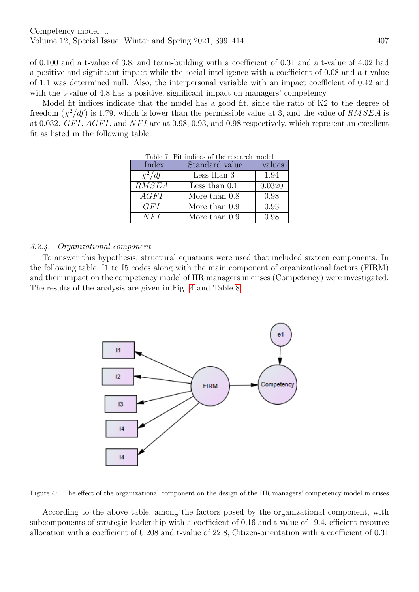of 0.100 and a t-value of 3.8, and team-building with a coefficient of 0.31 and a t-value of 4.02 had a positive and significant impact while the social intelligence with a coefficient of 0.08 and a t-value of 1.1 was determined null. Also, the interpersonal variable with an impact coefficient of 0.42 and with the t-value of 4.8 has a positive, significant impact on managers' competency.

Model fit indices indicate that the model has a good fit, since the ratio of K2 to the degree of freedom  $(\chi^2/df)$  is 1.79, which is lower than the permissible value at 3, and the value of  $RMSEA$  is at 0.032.  $GFI$ ,  $AGFI$ , and  $NFI$  are at 0.98, 0.93, and 0.98 respectively, which represent an excellent fit as listed in the following table.

| Table 7: Fit indices of the research model |                 |        |  |  |  |  |  |  |
|--------------------------------------------|-----------------|--------|--|--|--|--|--|--|
| Index                                      | Standard value  | values |  |  |  |  |  |  |
| $\chi^2/df$                                | Less than 3     | 1.94   |  |  |  |  |  |  |
| RMSEA                                      | Less than $0.1$ | 0.0320 |  |  |  |  |  |  |
| AGFI                                       | More than $0.8$ | 0.98   |  |  |  |  |  |  |
| GFI                                        | More than 0.9   | 0.93   |  |  |  |  |  |  |
| NFI                                        | More than 0.9   | 0.98   |  |  |  |  |  |  |

## 3.2.4. Organizational component

To answer this hypothesis, structural equations were used that included sixteen components. In the following table, I1 to I5 codes along with the main component of organizational factors (FIRM) and their impact on the competency model of HR managers in crises (Competency) were investigated. The results of the analysis are given in Fig. [4](#page-8-0) and Table [8.](#page-9-0)

<span id="page-8-0"></span>

Figure 4: The effect of the organizational component on the design of the HR managers' competency model in crises

According to the above table, among the factors posed by the organizational component, with subcomponents of strategic leadership with a coefficient of 0.16 and t-value of 19.4, efficient resource allocation with a coefficient of 0.208 and t-value of 22.8, Citizen-orientation with a coefficient of 0.31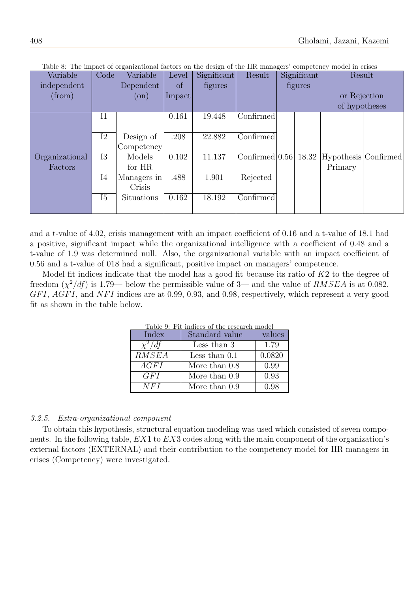| Variable       | Code        | Variable    | Level  | Significant | Result             | Significant |              | Result               |               |  |
|----------------|-------------|-------------|--------|-------------|--------------------|-------------|--------------|----------------------|---------------|--|
| independent    |             | Dependent   | of     | figures     |                    | figures     |              |                      |               |  |
| (from)         |             | $($ on $)$  | Impact |             |                    |             | or Rejection |                      |               |  |
|                |             |             |        |             |                    |             |              |                      | of hypotheses |  |
|                | $_{\rm I1}$ |             | 0.161  | 19.448      | Confirmed          |             |              |                      |               |  |
|                |             |             |        |             |                    |             |              |                      |               |  |
|                | I2          | Design of   | .208   | 22.882      | Confirmed          |             |              |                      |               |  |
|                |             | Competency  |        |             |                    |             |              |                      |               |  |
| Organizational | I3          | Models      | 0.102  | 11.137      | Confirmed $ 0.56 $ |             | 18.32        | Hypothesis Confirmed |               |  |
| Factors        |             | for HR      |        |             |                    |             |              | Primary              |               |  |
|                | I4          | Managers in | .488   | 1.901       | Rejected           |             |              |                      |               |  |
|                |             | Crisis      |        |             |                    |             |              |                      |               |  |
|                | I5          | Situations  | 0.162  | 18.192      | Confirmed          |             |              |                      |               |  |
|                |             |             |        |             |                    |             |              |                      |               |  |

<span id="page-9-0"></span>Table 8: The impact of organizational factors on the design of the HR managers' competency model in crises

and a t-value of 4.02, crisis management with an impact coefficient of 0.16 and a t-value of 18.1 had a positive, significant impact while the organizational intelligence with a coefficient of 0.48 and a t-value of 1.9 was determined null. Also, the organizational variable with an impact coefficient of 0.56 and a t-value of 018 had a significant, positive impact on managers' competence.

Model fit indices indicate that the model has a good fit because its ratio of  $K2$  to the degree of freedom  $(\chi^2/df)$  is 1.79— below the permissible value of 3— and the value of RMSEA is at 0.082.  $GFI, AGFI,$  and  $NFI$  indices are at 0.99, 0.93, and 0.98, respectively, which represent a very good fit as shown in the table below.

| Table 9: Fit indices of the research model |                 |        |  |  |  |  |  |  |
|--------------------------------------------|-----------------|--------|--|--|--|--|--|--|
| Index                                      | Standard value  | values |  |  |  |  |  |  |
| $\chi^2/df$                                | Less than 3     | 1.79   |  |  |  |  |  |  |
| RMSEA                                      | Less than $0.1$ | 0.0820 |  |  |  |  |  |  |
| AGFI                                       | More than 0.8   | 0.99   |  |  |  |  |  |  |
| GF I                                       | More than 0.9   | 0.93   |  |  |  |  |  |  |
| NFI                                        | More than 0.9   | 0.98   |  |  |  |  |  |  |

## 3.2.5. Extra-organizational component

To obtain this hypothesis, structural equation modeling was used which consisted of seven components. In the following table, EX1 to EX3 codes along with the main component of the organization's external factors (EXTERNAL) and their contribution to the competency model for HR managers in crises (Competency) were investigated.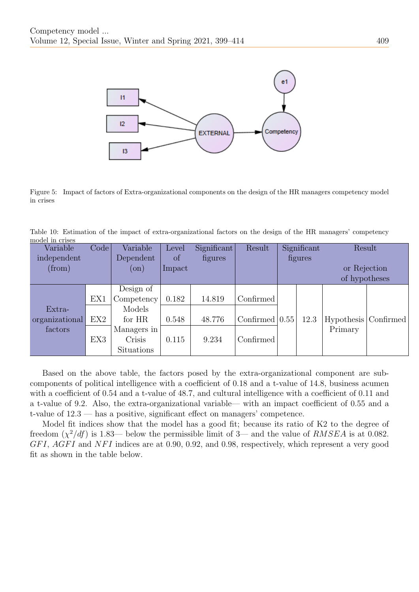

Figure 5: Impact of factors of Extra-organizational components on the design of the HR managers competency model in crises

Table 10: Estimation of the impact of extra-organizational factors on the design of the HR managers' competency model in crises

| Variable       | Code | Variable    | Level     | Significant | Result             | Significant |         |               | Result                 |              |  |
|----------------|------|-------------|-----------|-------------|--------------------|-------------|---------|---------------|------------------------|--------------|--|
| independent    |      | Dependent   | of        | figures     |                    |             | figures |               |                        |              |  |
| (from)         |      | $($ on $)$  | $Im$ pact |             |                    |             |         |               |                        | or Rejection |  |
|                |      |             |           |             |                    |             |         | of hypotheses |                        |              |  |
|                |      | Design of   |           |             |                    |             |         |               |                        |              |  |
|                | EX1  | Competency  | 0.182     | 14.819      | Confirmed          |             |         |               |                        |              |  |
| Extra-         |      | Models      |           |             |                    |             |         |               |                        |              |  |
| organizational | EX2  | for HR      | 0.548     | 48.776      | Confirmed $ 0.55 $ |             | 12.3    |               | Hypothesis   Confirmed |              |  |
| factors        |      | Managers in |           |             |                    |             |         | Primary       |                        |              |  |
|                | EX3  | Crisis      | 0.115     | 9.234       | Confirmed          |             |         |               |                        |              |  |
|                |      | Situations  |           |             |                    |             |         |               |                        |              |  |

Based on the above table, the factors posed by the extra-organizational component are subcomponents of political intelligence with a coefficient of 0.18 and a t-value of 14.8, business acumen with a coefficient of 0.54 and a t-value of 48.7, and cultural intelligence with a coefficient of 0.11 and a t-value of 9.2. Also, the extra-organizational variable— with an impact coefficient of 0.55 and a t-value of 12.3 — has a positive, significant effect on managers' competence.

Model fit indices show that the model has a good fit; because its ratio of K2 to the degree of freedom  $(\chi^2/df)$  is 1.83— below the permissible limit of 3— and the value of RMSEA is at 0.082.  $GFI$ ,  $AGFI$  and  $NFI$  indices are at 0.90, 0.92, and 0.98, respectively, which represent a very good fit as shown in the table below.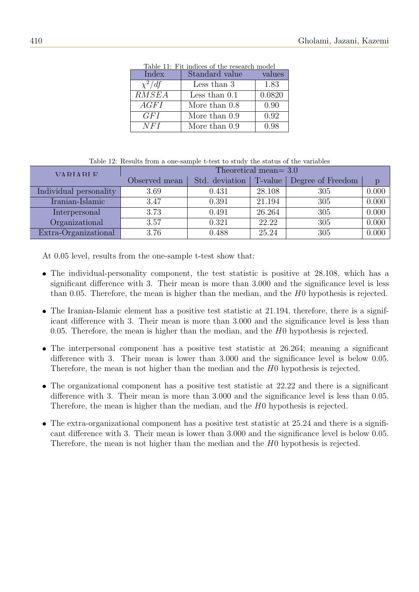| Table II: FIL Indices of the research model |                 |        |  |  |  |
|---------------------------------------------|-----------------|--------|--|--|--|
| Index                                       | Standard value  | values |  |  |  |
| $\chi^2/df$                                 | Less than 3     | 1.83   |  |  |  |
| RMSEA                                       | Less than $0.1$ | 0.0820 |  |  |  |
| AGFI                                        | More than $0.8$ | 0.90   |  |  |  |
| GF I                                        | More than 0.9   | 0.92   |  |  |  |
| NFI                                         | More than 0.9   | 0.98   |  |  |  |

Table 11: Fit indices of the research model

| Table 12: Results from a one-sample t-test to study the status of the variables |
|---------------------------------------------------------------------------------|
|---------------------------------------------------------------------------------|

| <b>VARIARLE</b>        | Theoretical mean= $3.0$ |                |         |                   |       |
|------------------------|-------------------------|----------------|---------|-------------------|-------|
|                        | Observed mean           | Std. deviation | T-value | Degree of Freedom | D     |
| Individual personality | 3.69                    | 0.431          | 28.108  | 305               | 0.000 |
| Iranian-Islamic        | 3.47                    | 0.391          | 21.194  | 305               | 0.000 |
| Interpersonal          | 3.73                    | 0.491          | 26.264  | 305               | 0.000 |
| Organizational         | 3.57                    | 0.321          | 22.22   | 305               | 0.000 |
| Extra-Organizational   | 3.76                    | 0.488          | 25.24   | 305               | 0.000 |

At 0.05 level, results from the one-sample t-test show that:

- The individual-personality component, the test statistic is positive at 28.108, which has a significant difference with 3. Their mean is more than 3.000 and the significance level is less than 0.05. Therefore, the mean is higher than the median, and the H0 hypothesis is rejected.
- The Iranian-Islamic element has a positive test statistic at 21.194, therefore, there is a significant difference with 3. Their mean is more than 3.000 and the significance level is less than 0.05. Therefore, the mean is higher than the median, and the  $H_0$  hypothesis is rejected.
- The interpersonal component has a positive test statistic at 26.264; meaning a significant difference with 3. Their mean is lower than 3.000 and the significance level is below 0.05. Therefore, the mean is not higher than the median and the H0 hypothesis is rejected.
- The organizational component has a positive test statistic at 22.22 and there is a significant difference with 3. Their mean is more than 3.000 and the significance level is less than 0.05. Therefore, the mean is higher than the median, and the H0 hypothesis is rejected.
- The extra-organizational component has a positive test statistic at 25.24 and there is a significant difference with 3. Their mean is lower than 3.000 and the significance level is below 0.05. Therefore, the mean is not higher than the median and the H0 hypothesis is rejected.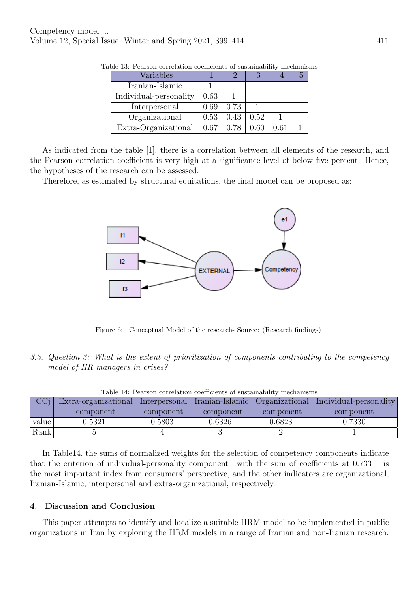| Variables              |      |      |      |  |
|------------------------|------|------|------|--|
| Iranian-Islamic        |      |      |      |  |
| Individual-personality | 0.63 |      |      |  |
| Interpersonal          | 0.69 | 0.73 |      |  |
| Organizational         | 0.53 | 0.43 | 0.52 |  |
| Extra-Organizational   | 0.67 | 0.78 | 0.60 |  |

Table 13: Pearson correlation coefficients of sustainability mechanisms

As indicated from the table [\[1\]](#page-14-8), there is a correlation between all elements of the research, and the Pearson correlation coefficient is very high at a significance level of below five percent. Hence, the hypotheses of the research can be assessed.

Therefore, as estimated by structural equitations, the final model can be proposed as:



Figure 6: Conceptual Model of the research- Source: (Research findings)

3.3. Question 3: What is the extent of prioritization of components contributing to the competency model of HR managers in crises?

| Table 14: Pearson correlation coemcients of sustainability mechanisms |                      |               |                 |           |                                       |
|-----------------------------------------------------------------------|----------------------|---------------|-----------------|-----------|---------------------------------------|
|                                                                       | Extra-organizational | Interpersonal | Iranian-Islamic |           | Organizational Individual-personality |
|                                                                       | component            | component     | component       | component | component                             |
| value                                                                 | $\;\:0.5321$         | 0.5803        | 0.6326          | 0.6823    | 0.7330                                |
| Rank                                                                  |                      |               |                 |           |                                       |

Table 14: Pearson correlation coefficients of sustainability mechanisms

In Table14, the sums of normalized weights for the selection of competency components indicate that the criterion of individual-personality component—with the sum of coefficients at 0.733— is the most important index from consumers' perspective, and the other indicators are organizational, Iranian-Islamic, interpersonal and extra-organizational, respectively.

## 4. Discussion and Conclusion

This paper attempts to identify and localize a suitable HRM model to be implemented in public organizations in Iran by exploring the HRM models in a range of Iranian and non-Iranian research.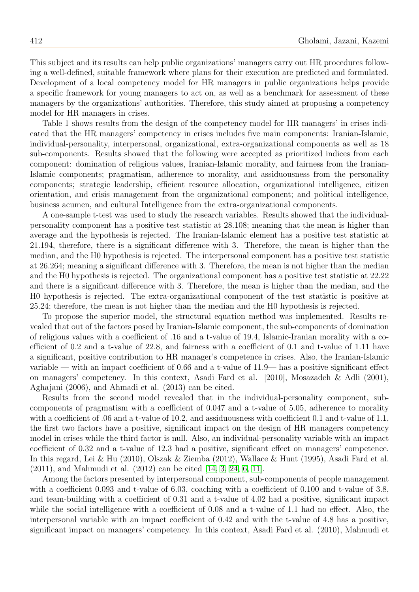This subject and its results can help public organizations' managers carry out HR procedures following a well-defined, suitable framework where plans for their execution are predicted and formulated. Development of a local competency model for HR managers in public organizations helps provide a specific framework for young managers to act on, as well as a benchmark for assessment of these managers by the organizations' authorities. Therefore, this study aimed at proposing a competency model for HR managers in crises.

Table 1 shows results from the design of the competency model for HR managers' in crises indicated that the HR managers' competency in crises includes five main components: Iranian-Islamic, individual-personality, interpersonal, organizational, extra-organizational components as well as 18 sub-components. Results showed that the following were accepted as prioritized indices from each component: domination of religious values, Iranian-Islamic morality, and fairness from the Iranian-Islamic components; pragmatism, adherence to morality, and assiduousness from the personality components; strategic leadership, efficient resource allocation, organizational intelligence, citizen orientation, and crisis management from the organizational component; and political intelligence, business acumen, and cultural Intelligence from the extra-organizational components.

A one-sample t-test was used to study the research variables. Results showed that the individualpersonality component has a positive test statistic at 28.108; meaning that the mean is higher than average and the hypothesis is rejected. The Iranian-Islamic element has a positive test statistic at 21.194, therefore, there is a significant difference with 3. Therefore, the mean is higher than the median, and the H0 hypothesis is rejected. The interpersonal component has a positive test statistic at 26.264; meaning a significant difference with 3. Therefore, the mean is not higher than the median and the H0 hypothesis is rejected. The organizational component has a positive test statistic at 22.22 and there is a significant difference with 3. Therefore, the mean is higher than the median, and the H0 hypothesis is rejected. The extra-organizational component of the test statistic is positive at 25.24; therefore, the mean is not higher than the median and the H0 hypothesis is rejected.

To propose the superior model, the structural equation method was implemented. Results revealed that out of the factors posed by Iranian-Islamic component, the sub-components of domination of religious values with a coefficient of .16 and a t-value of 19.4, Islamic-Iranian morality with a coefficient of 0.2 and a t-value of 22.8, and fairness with a coefficient of 0.1 and t-value of 1.11 have a significant, positive contribution to HR manager's competence in crises. Also, the Iranian-Islamic variable — with an impact coefficient of 0.66 and a t-value of 11.9— has a positive significant effect on managers' competency. In this context, Asadi Fard et al. [2010], Mosazadeh & Adli (2001), Aghajani (2006), and Ahmadi et al. (2013) can be cited.

Results from the second model revealed that in the individual-personality component, subcomponents of pragmatism with a coefficient of 0.047 and a t-value of 5.05, adherence to morality with a coefficient of .06 and a t-value of 10.2, and assiduousness with coefficient 0.1 and t-value of 1.1, the first two factors have a positive, significant impact on the design of HR managers competency model in crises while the third factor is null. Also, an individual-personality variable with an impact coefficient of 0.32 and a t-value of 12.3 had a positive, significant effect on managers' competence. In this regard, Lei & Hu (2010), Olszak & Ziemba (2012), Wallace & Hunt (1995), Asadi Fard et al. (2011), and Mahmudi et al. (2012) can be cited [\[14,](#page-14-9) [3,](#page-14-10) [24,](#page-15-1) [6,](#page-14-11) [11\]](#page-14-12).

Among the factors presented by interpersonal component, sub-components of people management with a coefficient 0.093 and t-value of 6.03, coaching with a coefficient of 0.100 and t-value of 3.8, and team-building with a coefficient of 0.31 and a t-value of 4.02 had a positive, significant impact while the social intelligence with a coefficient of 0.08 and a t-value of 1.1 had no effect. Also, the interpersonal variable with an impact coefficient of 0.42 and with the t-value of 4.8 has a positive, significant impact on managers' competency. In this context, Asadi Fard et al. (2010), Mahmudi et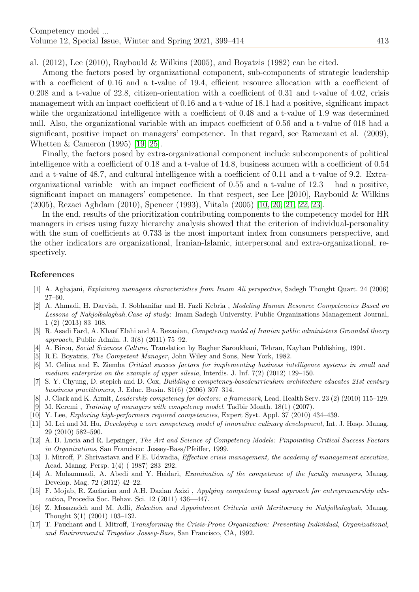al.  $(2012)$ , Lee  $(2010)$ , Raybould & Wilkins  $(2005)$ , and Boyatzis  $(1982)$  can be cited.

Among the factors posed by organizational component, sub-components of strategic leadership with a coefficient of 0.16 and a t-value of 19.4, efficient resource allocation with a coefficient of 0.208 and a t-value of 22.8, citizen-orientation with a coefficient of 0.31 and t-value of 4.02, crisis management with an impact coefficient of 0.16 and a t-value of 18.1 had a positive, significant impact while the organizational intelligence with a coefficient of 0.48 and a t-value of 1.9 was determined null. Also, the organizational variable with an impact coefficient of 0.56 and a t-value of 018 had a significant, positive impact on managers' competence. In that regard, see Ramezani et al. (2009), Whetten & Cameron (1995) [\[19,](#page-15-2) [25\]](#page-15-3).

Finally, the factors posed by extra-organizational component include subcomponents of political intelligence with a coefficient of 0.18 and a t-value of 14.8, business acumen with a coefficient of 0.54 and a t-value of 48.7, and cultural intelligence with a coefficient of 0.11 and a t-value of 9.2. Extraorganizational variable—with an impact coefficient of 0.55 and a t-value of 12.3— had a positive, significant impact on managers' competence. In that respect, see Lee  $[2010]$ , Raybould & Wilkins (2005), Rezaei Aghdam (2010), Spencer (1993), Viitala (2005) [\[10,](#page-14-13) [20,](#page-15-4) [21,](#page-15-5) [22,](#page-15-6) [23\]](#page-15-7).

In the end, results of the prioritization contributing components to the competency model for HR managers in crises using fuzzy hierarchy analysis showed that the criterion of individual-personality with the sum of coefficients at 0.733 is the most important index from consumers perspective, and the other indicators are organizational, Iranian-Islamic, interpersonal and extra-organizational, respectively.

## References

- <span id="page-14-8"></span>[1] A. Aghajani, Explaining managers characteristics from Imam Ali perspective, Sadegh Thought Quart. 24 (2006) 27–60.
- [2] A. Ahmadi, H. Darvish, J. Sobhanifar and H. Fazli Kebria , Modeling Human Resource Competencies Based on Lessons of Nahjolbalaghah.Case of study: Imam Sadegh University. Public Organizations Management Journal, 1 (2) (2013) 83–108.
- <span id="page-14-10"></span>[3] R. Asadi Fard, A. Khaef Elahi and A. Rezaeian, *Competency model of Iranian public administers Grounded theory* approach, Public Admin. J. 3(8) (2011) 75–92.
- <span id="page-14-5"></span>[4] A. Birou, Social Sciences Culture, Translation by Bagher Saroukhani, Tehran, Kayhan Publishing, 1991.
- [5] R.E. Boyatzis, The Competent Manager, John Wiley and Sons, New York, 1982.
- <span id="page-14-11"></span>[6] M. Celina and E. Ziemba Critical success factors for implementing business intelligence systems in small and medium enterprise on the example of upper silesia, Interdis. J. Inf. 7(2) (2012) 129–150.
- <span id="page-14-4"></span>[7] S. Y. Chyung, D. stepich and D. Cox, Building a competency-basedcurriculum architecture educates 21st century bussiness practitioners, J. Educ. Busin. 81(6) (2006) 307–314.
- <span id="page-14-2"></span>[8] J. Clark and K. Armit, Leadership competency for doctors: a framework, Lead. Health Serv. 23 (2) (2010) 115–129.
- <span id="page-14-3"></span>[9] M. Keremi , Training of managers with competency model, Tadbir Month. 18(1) (2007).
- <span id="page-14-13"></span>[10] Y. Lee, Exploring high-performers required competencies, Expert Syst. Appl. 37 (2010) 434–439.
- <span id="page-14-12"></span>[11] M. Lei and M. Hu, Developing a core competency model of innovative culinary development, Int. J. Hosp. Manag. 29 (2010) 582–590.
- <span id="page-14-0"></span>[12] A. D. Lucia and R. Lepsinger, The Art and Science of Competency Models: Pinpointing Critical Success Factors in Organizations, San Francisco: Jossey-Bass/Pfeiffer, 1999.
- <span id="page-14-7"></span>[13] I. Mitroff, P. Shrivastava and F.E. Udwadia, Effective crisis management, the academy of management executive, Acad. Manag. Persp. 1(4) ( 1987) 283–292.
- <span id="page-14-9"></span>[14] A. Mohammadi, A. Abedi and Y. Heidari, Examination of the competence of the faculty managers, Manag. Develop. Mag. 72 (2012) 42–22.
- <span id="page-14-1"></span>[15] F. Mojab, R. Zaefarian and A.H. Dazian Azizi , Applying competency based approach for entrepreneurship education, Procedia Soc. Behav. Sci. 12 (2011) 436—447.
- [16] Z. Mosazadeh and M. Adli, Selection and Appointment Criteria with Meritocracy in Nahjolbalaghah, Manag. Thought 3(1) (2001) 103–132.
- <span id="page-14-6"></span>[17] T. Pauchant and I. Mitroff, Transforming the Crisis-Prone Organization: Preventing Individual, Organizational, and Environmental Tragedies Jossey-Bass, San Francisco, CA, 1992.